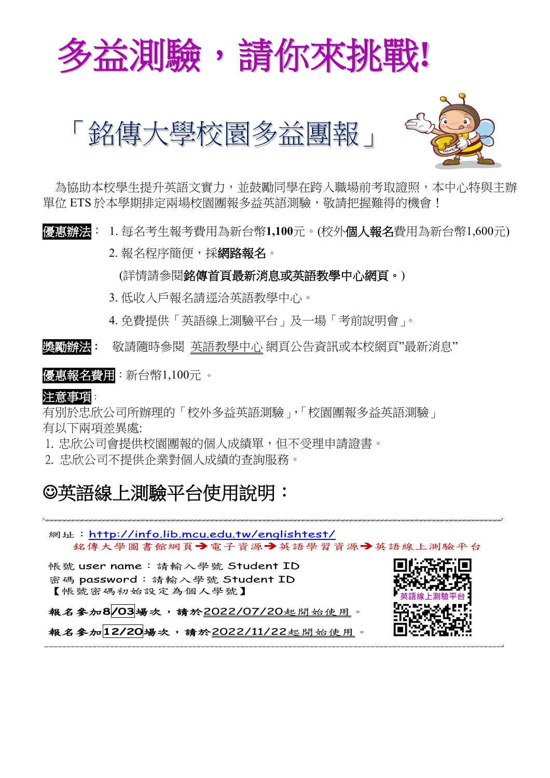





 為協助本校學生提升英語文實力,並鼓勵同學在跨入職場前考取證照,本中心特與主辦 單位 ETS 於本學期排定兩場校園團報多益英語測驗,敬請把握難得的機會!

優惠辦法: 1. 每名考生報考費用為新台幣**1,100**元。(校外個人報名費用為新台幣1,600元)

2. 報名程序簡便,採網路報名。

(詳情請參閱銘傳首頁最新消息或英語教學中心網頁。)

- 3. 低收入戶報名請逕洽英語教學中心。
- 4. 免費提供「英語線上測驗平台」及一場「考前說明會」。

獎勵辦法:敬請隨時參閱 英語教學中心 網頁公告資訊或本校網頁"最新消息"

優惠報名費用:新台幣1,100元 。

注意事項:

有別於忠欣公司所辦理的「校外多益英語測驗」,「校園團報多益英語測驗」 有以下兩項差異處:

1. 忠欣公司會提供校園團報的個人成績單,但不受理申請證書。

2. 忠欣公司不提供企業對個人成績的查詢服務。

## 英語線上測驗平台使用說明:

網址: <http://info.lib.mcu.edu.tw/englishtest/> 銘傳大學圖書館網頁→電子資源→英語學習資源→英語線上測驗平台

帳號 user name:請輸入學號 Student ID 密碼 password:請輸入學號 Student ID 【帳號密碼初始設定為個人學號】

報名參加**8/03**場次,請於2022/07/20起開始使用。



報名參加**12/20**場次,請於2022/11/22起開始使用。